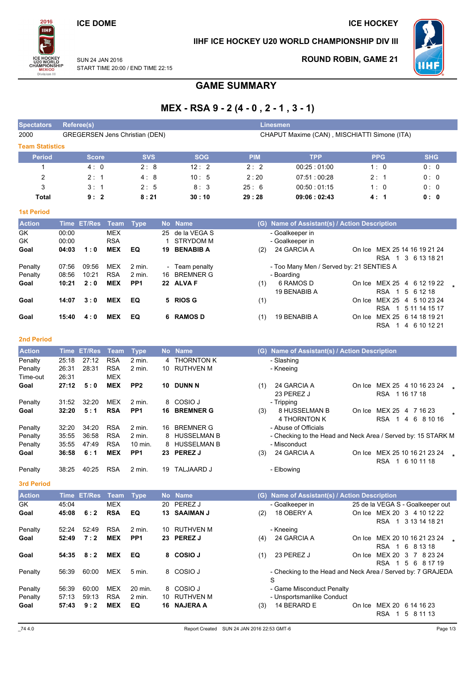### **ICE DOME**

2016

**TIHF** 

**J20 WORL<br>HAMPIONS<br>MEXICO**<br>Division II

### IIHF ICE HOCKEY U20 WORLD CHAMPIONSHIP DIV III



**SUN 24 JAN 2016** START TIME 20:00 / END TIME 22:15

### **ROUND ROBIN, GAME 21**

**ICE HOCKEY** 

# **GAME SUMMARY**

# MEX - RSA 9 - 2 (4 - 0, 2 - 1, 3 - 1)

| <b>Spectators</b>      | Referee(s)                            |            |            | Linesmen   |                                              |            |            |
|------------------------|---------------------------------------|------------|------------|------------|----------------------------------------------|------------|------------|
| 2000                   | <b>GREGERSEN Jens Christian (DEN)</b> |            |            |            | CHAPUT Maxime (CAN), MISCHIATTI Simone (ITA) |            |            |
| <b>Team Statistics</b> |                                       |            |            |            |                                              |            |            |
| <b>Period</b>          | <b>Score</b>                          | <b>SVS</b> | <b>SOG</b> | <b>PIM</b> | <b>TPP</b>                                   | <b>PPG</b> | <b>SHG</b> |
|                        | 4:0                                   | 2:8        | 12:2       | 2:2        | 00:25:01:00                                  | 1:0        | 0:0        |
| 2                      | 2:1                                   | 4:8        | 10:5       | 2:20       | 07:51:00:28                                  | 2:1        | 0:0        |
| 3                      | 3:1                                   | 2:5        | 8:3        | 25:6       | 00:50:01:15                                  | 1:0        | 0:0        |
| Total                  | 9:2                                   | 8:21       | 30:10      | 29:28      | 09:06:02:43                                  | 4:1        | 0: 0       |

| <b>Action</b>          |                | Time ET/Res | Team                     | Type            |    | No Name                      | (G) Name of Assistant(s) / Action Description                                          |               |
|------------------------|----------------|-------------|--------------------------|-----------------|----|------------------------------|----------------------------------------------------------------------------------------|---------------|
| <b>GK</b><br><b>GK</b> | 00:00<br>00:00 |             | <b>MEX</b><br><b>RSA</b> |                 |    | 25 de la VEGA S<br>STRYDOM M | - Goalkeeper in                                                                        |               |
| Goal                   | 04:03          | 1:0         | <b>MEX</b>               | EQ              | 19 | <b>BENABIB A</b>             | - Goalkeeper in<br>24 GARCIA A<br>MEX 25 14 16 19 21 24<br>On Ice                      |               |
|                        |                |             |                          |                 |    |                              | (2)<br><b>RSA</b><br>3 6 13 18 21                                                      |               |
| Penalty                | 07:56          | 09:56       | <b>MEX</b>               | 2 min.          |    | - Team penalty               | - Too Many Men / Served by: 21 SENTIES A                                               |               |
| Penalty                | 08:56          | 10:21       | <b>RSA</b>               | 2 min.          |    | 16 BREMNER G                 | - Boarding                                                                             |               |
| Goal                   | 10:21          | 2:0         | <b>MEX</b>               | PP <sub>1</sub> |    | 22 ALVA F                    | 6 RAMOS D<br>On Ice MEX 25 4 6 12 19 22<br>(1)<br>19 BENABIB A<br>RSA 1<br>5 6 1 2 1 8 |               |
| Goal                   | 14:07          | 3:0         | <b>MEX</b>               | EQ              |    | 5 RIOS G                     | MEX 25<br>4 5 10 23 24<br>(1)<br>On Ice<br><b>RSA</b>                                  | 5 11 14 15 17 |
| Goal                   | 15:40          | 4:0         | <b>MEX</b>               | EQ              |    | 6 RAMOS D                    | 19 BENABIB A<br>MEX 25 6 14 18 19 21<br>(1)<br>On Ice<br><b>RSA</b>                    | 4 6 10 12 21  |

#### 2nd Period

**1st Period** 

| <b>Action</b> | <b>Time</b> | <b>ET/Res</b> | Team       | <b>Type</b>       |     | No Name          | (G) | Name of Assistant(s) / Action Description                    |
|---------------|-------------|---------------|------------|-------------------|-----|------------------|-----|--------------------------------------------------------------|
| Penalty       | 25:18       | 27:12         | <b>RSA</b> | $2$ min.          |     | 4 THORNTON K     |     | - Slashing                                                   |
| Penalty       | 26:31       | 28:31         | <b>RSA</b> | 2 min.            | 10  | RUTHVEN M        |     | - Kneeing                                                    |
| Time-out      | 26:31       |               | <b>MEX</b> |                   |     |                  |     |                                                              |
| Goal          | 27:12       | 5:0           | <b>MEX</b> | PP <sub>2</sub>   | 10  | <b>DUNN N</b>    | (1) | 24 GARCIA A<br>MEX 25 4 10 16 23 24<br>On Ice                |
|               |             |               |            |                   |     |                  |     | 23 PEREZ J<br>RSA 1161718                                    |
| Penalty       | 31:52       | 32:20         | <b>MEX</b> | $2$ min.          |     | 8 COSIO J        |     | - Tripping                                                   |
| Goal          | 32:20       | 5:1           | <b>RSA</b> | PP <sub>1</sub>   | 16. | <b>BREMNER G</b> | (3) | 8 HUSSELMAN B<br>MEX 25<br>4 7 16 23<br>On Ice               |
|               |             |               |            |                   |     |                  |     | 4 THORNTON K<br><b>RSA</b><br>6<br>8 10 16<br>4              |
| Penalty       | 32:20       | 34:20         | <b>RSA</b> | $2$ min.          | 16. | <b>BREMNER G</b> |     | - Abuse of Officials                                         |
| Penalty       | 35:55       | 36:58         | <b>RSA</b> | $2 \text{ min}$ . |     | 8 HUSSELMAN B    |     | - Checking to the Head and Neck Area / Served by: 15 STARK M |
| Penalty       | 35:55       | 47:49         | <b>RSA</b> | 10 min.           |     | 8 HUSSELMAN B    |     | - Misconduct                                                 |
| Goal          | 36:58       | 6:1           | <b>MEX</b> | PP <sub>1</sub>   |     | 23 PEREZ J       | (3) | 24 GARCIA A<br>MEX 25 10 16 21 23 24<br>On Ice               |
|               |             |               |            |                   |     |                  |     | 6 10 11 18<br><b>RSA</b><br>$\mathbf 1$                      |
| Penalty       | 38:25       | 40:25         | <b>RSA</b> | 2 min.            | 19  | TALJAARD J       |     | - Elbowing                                                   |

3rd Period

| <b>Action</b> | <b>Time</b> | <b>ET/Res</b> | Team       | Type              |     | No Name          |     | (G) Name of Assistant(s) / Action Description               |        |                                  |
|---------------|-------------|---------------|------------|-------------------|-----|------------------|-----|-------------------------------------------------------------|--------|----------------------------------|
| GK            | 45:04       |               | <b>MEX</b> |                   | 20  | <b>PEREZ J</b>   |     | - Goalkeeper in                                             |        | 25 de la VEGA S - Goalkeeper out |
| Goal          | 45:08       | 6:2           | <b>RSA</b> | EQ                | 13. | <b>SAAIMAN J</b> | (2) | 18 OBERY A                                                  | On Ice | MEX 20 3 4 10 12 22              |
|               |             |               |            |                   |     |                  |     |                                                             |        | <b>RSA</b><br>1 3 13 14 18 21    |
| Penalty       | 52:24       | 52:49         | <b>RSA</b> | $2 \text{ min}$ . | 10. | RUTHVEN M        |     | - Kneeing                                                   |        |                                  |
| Goal          | 52:49       | 7:2           | <b>MEX</b> | PP <sub>1</sub>   | 23  | <b>PEREZ J</b>   | (4) | 24 GARCIA A                                                 | On Ice | MEX 20 10 16 21 23 24            |
|               |             |               |            |                   |     |                  |     |                                                             |        | <b>RSA</b><br>6 8 1 3 1 8        |
| Goal          | 54:35       | 8:2           | <b>MEX</b> | EQ                | 8   | <b>COSIO J</b>   | (1) | 23 PEREZ J                                                  | On Ice | MEX 20<br>3 7 8 2 3 2 4          |
|               |             |               |            |                   |     |                  |     |                                                             |        | <b>RSA</b><br>56<br>8 17 19      |
| Penalty       | 56:39       | 60:00         | <b>MEX</b> | 5 min.            |     | 8 COSIO J        |     | - Checking to the Head and Neck Area / Served by: 7 GRAJEDA |        |                                  |
|               |             |               |            |                   |     |                  |     | S                                                           |        |                                  |
| Penalty       | 56:39       | 60:00         | <b>MEX</b> | 20 min.           |     | 8 COSIO J        |     | - Game Misconduct Penalty                                   |        |                                  |
| Penalty       | 57:13       | 59:13         | <b>RSA</b> | $2$ min.          | 10. | <b>RUTHVEN M</b> |     | - Unsportsmanlike Conduct                                   |        |                                  |
| Goal          | 57:43       | 9:2           | <b>MEX</b> | EQ                | 16  | <b>NAJERA A</b>  | (3) | 14 BERARD E                                                 | On Ice | MEX 20<br>6 14 16 23             |
|               |             |               |            |                   |     |                  |     |                                                             |        | <b>RSA</b><br>5 8 1 1 1 3        |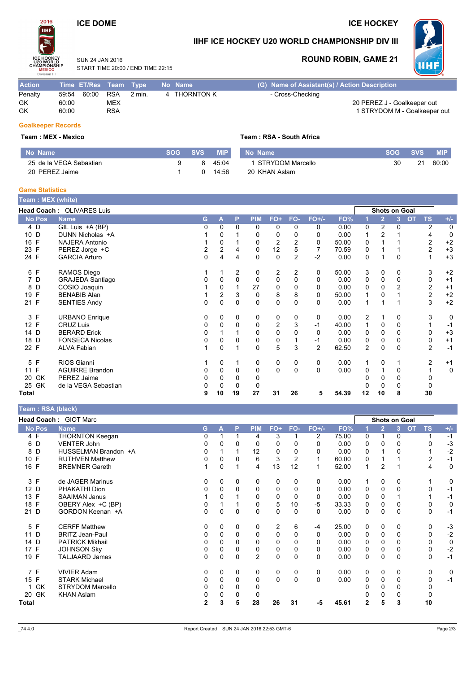# **ICE DOME**

### **ICE HOCKEY**



## IIHF ICE HOCKEY U20 WORLD CHAMPIONSHIP DIV III

SUN 24 JAN 2016 START TIME 20:00 / END TIME 22:15

### **ROUND ROBIN, GAME 21**



| <b>Action</b> | Time ET/Res Team Type |            |                  | No Name      | (G) Name of Assistant(s) / Action Description |
|---------------|-----------------------|------------|------------------|--------------|-----------------------------------------------|
| Penalty       | 59:54                 | 60:00 RSA  | $2 \text{ min.}$ | 4 THORNTON K | - Cross-Checking                              |
| GK            | 60:00                 | MEX        |                  |              | 20 PEREZ J - Goalkeeper out                   |
| GK            | 60:00                 | <b>RSA</b> |                  |              | 1 STRYDOM M - Goalkeeper out                  |
|               |                       |            |                  |              |                                               |

### **Goalkeeper Records**

#### Team: MEX - Mexico

| ∣ No Name               | <b>SOG SVS</b> | <b>MIP</b>           | No Na |
|-------------------------|----------------|----------------------|-------|
| 25 de la VEGA Sebastian |                | 8 45 <sup>-</sup> 04 | 1 ST  |
| 20 PEREZ Jaime          |                | 14∶56                | 20 KF |

#### Team: RSA - South Africa

| <b>MIP</b> | No Name            | <b>SOG</b> | <b>SVS</b> | <b>MIP</b> |
|------------|--------------------|------------|------------|------------|
| 45:04      | 1 STRYDOM Marcello | -30        | 21         | 60:00      |
| 14:56      | 20 KHAN Aslam      |            |            |            |

#### **Game Statistics**

| <b>Team: MEX (white)</b> |                           |   |                         |    |             |             |                |                |       |                |                      |   |                        |             |
|--------------------------|---------------------------|---|-------------------------|----|-------------|-------------|----------------|----------------|-------|----------------|----------------------|---|------------------------|-------------|
|                          | Head Coach: OLIVARES Luis |   |                         |    |             |             |                |                |       |                | <b>Shots on Goal</b> |   |                        |             |
| <b>No Pos</b>            | <b>Name</b>               | G | A                       | P  | <b>PIM</b>  | FO+         | FO-            | $FO+/-$        | FO%   |                | $\overline{2}$       | 3 | <b>OT</b><br><b>TS</b> | $+/-$       |
| 4 D                      | GIL Luis +A (BP)          | 0 | $\Omega$                | 0  | 0           | 0           | 0              | 0              | 0.00  | 0              | 2                    | 0 | $\overline{2}$         | 0           |
| 10 D                     | DUNN Nicholas +A          |   | 0                       |    | 0           | 0           | 0              | 0              | 0.00  |                | 2                    |   | 4                      | $\mathbf 0$ |
| F<br>16                  | <b>NAJERA Antonio</b>     |   | 0                       |    | 0           | 2           | 2              | 0              | 50.00 | 0              |                      |   | $\overline{c}$         | $+2$        |
| 23 F                     | PEREZ Jorge +C            | 2 | $\overline{2}$          | 4  | 0           | 12          | 5              |                | 70.59 | 0              |                      |   | $\overline{2}$         | $+3$        |
| 24 F                     | <b>GARCIA Arturo</b>      | 0 | 4                       | 4  | 0           | 0           | $\overline{c}$ | $-2$           | 0.00  | 0              |                      | 0 |                        | $+3$        |
| 6 F                      | RAMOS Diego               |   |                         | 2  | 0           | 2           | 2              | 0              | 50.00 | 3              | 0                    | 0 | 3                      | $+2$        |
| 7 D                      | <b>GRAJEDA Santiago</b>   | 0 | 0                       | 0  | 0           | 0           | 0              | 0              | 0.00  | 0              | 0                    | 0 | 0                      | $+1$        |
| D<br>8                   | COSIO Joaquin             |   | $\Omega$                |    | 27          | 0           | $\Omega$       | 0              | 0.00  | 0              | 0                    | 2 | $\overline{c}$         | $+1$        |
| F<br>19                  | <b>BENABIB Alan</b>       |   | $\overline{\mathbf{c}}$ | 3  | 0           | 8           | 8              | 0              | 50.00 |                | 0                    |   | 2                      | $+2$        |
| 21 F                     | <b>SENTIES Andy</b>       | 0 | 0                       | 0  | $\mathbf 0$ | $\pmb{0}$   | 0              | 0              | 0.00  | 1              |                      |   | 3                      | $+2$        |
| 3 F                      | <b>URBANO Enrique</b>     | 0 | 0                       | 0  | 0           | 0           | 0              | 0              | 0.00  | 2              |                      | 0 | 3                      | 0           |
| 12 F                     | <b>CRUZ Luis</b>          | 0 | $\Omega$                | 0  | 0           | 2           | 3              | $-1$           | 40.00 | 1              | 0                    | 0 |                        | $-1$        |
| 14 D                     | <b>BERARD Erick</b>       | 0 |                         |    | 0           | $\mathbf 0$ | 0              | 0              | 0.00  | 0              | 0                    | 0 | 0                      | $+3$        |
| D<br>18                  | <b>FONSECA Nicolas</b>    | 0 | 0                       | 0  | 0           | 0           |                | -1             | 0.00  | 0              | 0                    | 0 | 0                      | $+1$        |
| 22 F                     | <b>ALVA Fabian</b>        | 1 | $\Omega$                |    | $\Omega$    | 5           | 3              | $\overline{2}$ | 62.50 | $\overline{2}$ | $\Omega$             | 0 | $\overline{2}$         | $-1$        |
| F<br>5                   | RIOS Gianni               |   | 0                       |    | 0           | 0           | 0              | 0              | 0.00  |                | 0                    |   | 2                      | $+1$        |
| F<br>11                  | <b>AGUIRRE Brandon</b>    | 0 | 0                       | 0  | $\mathbf 0$ | 0           | $\Omega$       | $\mathbf 0$    | 0.00  | 0              |                      | 0 |                        | $\mathbf 0$ |
| GK<br>20                 | PEREZ Jaime               | 0 | 0                       | 0  | 0           |             |                |                |       | 0              | 0                    | 0 | 0                      |             |
| 25 GK                    | de la VEGA Sebastian      | O | 0                       | 0  | 0           |             |                |                |       |                | 0                    | 0 | 0                      |             |
| <b>Total</b>             |                           | 9 | 10                      | 19 | 27          | 31          | 26             | 5              | 54.39 | 12             | 10                   | 8 | 30                     |             |

#### Team: RSA (black)

|                    | Head Coach: GIOT Marc   |              |              |              |                |                |                |          |       |              | <b>Shots on Goal</b> |                |           |                |             |
|--------------------|-------------------------|--------------|--------------|--------------|----------------|----------------|----------------|----------|-------|--------------|----------------------|----------------|-----------|----------------|-------------|
| No Pos             | <b>Name</b>             | G.           | A            | P            | <b>PIM</b>     | FO+            | FO-            | $FO+/-$  | FO%   |              | $\overline{2}$       | $\overline{3}$ | <b>OT</b> | <b>TS</b>      | $+/-$       |
| 4 F                | <b>THORNTON Keegan</b>  | 0            |              |              | 4              | 3              |                | 2        | 75.00 | 0            |                      | 0              |           |                | $-1$        |
| 6 D                | <b>VENTER John</b>      | 0            |              | 0            | $\Omega$       | 0              | 0              | O        | 0.00  | 0            | 0                    | $\Omega$       |           | O              | $-3$        |
| 8 D                | HUSSELMAN Brandon +A    | 0            |              |              | 12             | 0              | 0              |          | 0.00  | 0            |                      | 0              |           |                | $-2$        |
| 10 F               | <b>RUTHVEN Matthew</b>  | 0            | 0            | 0            | 6              | 3              | $\overline{2}$ |          | 60.00 | 0            |                      |                |           | $\overline{2}$ | $-1$        |
| 16 F               | <b>BREMNER Gareth</b>   |              | $\Omega$     |              | 4              | 13             | 12             |          | 52.00 | 1            | 2                    |                |           | 4              | 0           |
| 3 F                | de JAGER Marinus        | 0            | 0            | $\mathbf{0}$ | 0              | 0              | 0              | 0        | 0.00  |              | 0                    | 0              |           |                | 0           |
| 12 D               | PHAKATHI Dion           | 0            | 0            | 0            | 0              | 0              | 0              | 0        | 0.00  | 0            | 0                    | 0              |           | 0              | $-1$        |
| 13 F               | <b>SAAIMAN Janus</b>    |              | 0            |              | 0              | 0              | 0              | 0        | 0.00  | 0            | 0                    |                |           |                | $-1$        |
| 18 F               | OBERY Alex +C (BP)      | 0            |              |              | 0              | 5              | 10             | -5       | 33.33 | 0            | 0                    | 0              |           | 0              | $\mathbf 0$ |
| 21 D               | GORDON Keenan +A        | 0            | $\Omega$     | $\mathbf 0$  | 0              | 0              | 0              | $\Omega$ | 0.00  | 0            | 0                    | $\Omega$       |           | $\mathbf 0$    | $-1$        |
| 5 F                | <b>CERFF Matthew</b>    | 0            | $\mathbf{0}$ | $\mathbf{0}$ | 0              | $\overline{2}$ | 6              | -4       | 25.00 | 0            | $\mathbf{0}$         | 0              |           | 0              | $-3$        |
| 11 D               | <b>BRITZ Jean-Paul</b>  | 0            | 0            | 0            | 0              | 0              | 0              | $\Omega$ | 0.00  | 0            | $\Omega$             | 0              |           | $\Omega$       | $-2$        |
| 14 D               | <b>PATRICK Mikhail</b>  | 0            | 0            | 0            | 0              | 0              | 0              | 0        | 0.00  | 0            | 0                    | 0              |           | 0              | $\mathbf 0$ |
| $\mathsf{F}$<br>17 | <b>JOHNSON Sky</b>      | 0            | 0            | 0            | 0              | 0              | 0              | 0        | 0.00  | 0            | 0                    | 0              |           | 0              | $-2$        |
| 19 F               | <b>TALJAARD James</b>   | 0            | $\Omega$     | 0            | $\overline{2}$ | 0              | $\Omega$       | 0        | 0.00  | 0            | $\Omega$             | $\Omega$       |           | 0              | $-1$        |
| 7 F                | <b>VIVIER Adam</b>      | 0            | 0            | $\mathbf{0}$ | 0              | 0              | 0              | 0        | 0.00  | 0            | 0                    | 0              |           | 0              | $\mathbf 0$ |
| 15 F               | <b>STARK Michael</b>    | 0            | 0            | $\Omega$     | 0              | $\Omega$       | $\Omega$       | $\Omega$ | 0.00  | 0            | 0                    | $\Omega$       |           | 0              | $-1$        |
| GK<br>$\mathbf{1}$ | <b>STRYDOM Marcello</b> | 0            | 0            | 0            | 0              |                |                |          |       |              | 0                    | 0              |           | 0              |             |
| 20 GK              | <b>KHAN Aslam</b>       | 0            |              | 0            | 0              |                |                |          |       |              | 0                    | 0              |           | 0              |             |
| Total              |                         | $\mathbf{2}$ | 3            | 5            | 28             | 26             | 31             | -5       | 45.61 | $\mathbf{2}$ | 5                    | 3              |           | 10             |             |